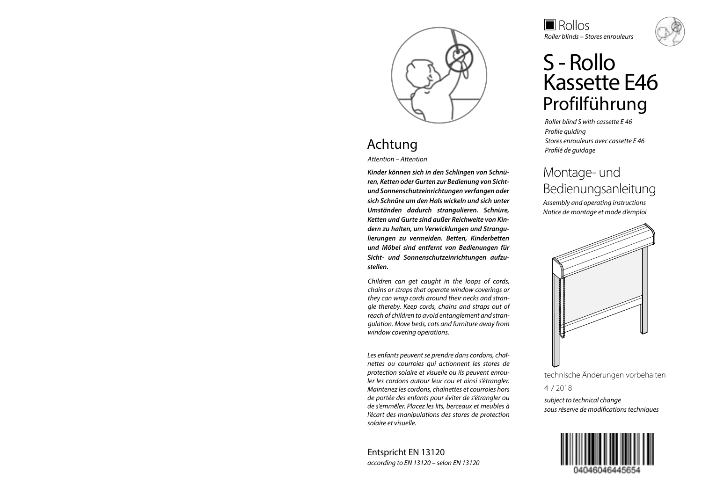

## Achtung

*Attention – Attention*

*Kinder können sich in den Schlingen von Schnüren, Ketten oder Gurten zur Bedienung von Sichtund Sonnenschutzeinrichtungen verfangen oder sich Schnüre um den Hals wickeln und sich unter Umständen dadurch strangulieren. Schnüre, Ketten und Gurte sind außer Reichweite von Kindern zu halten, um Verwicklungen und Strangulierungen zu vermeiden. Betten, Kinderbetten und Möbel sind entfernt von Bedienungen für Sicht- und Sonnenschutzeinrichtungen aufzustellen.*

*Children can get caught in the loops of cords, chains or straps that operate window coverings or they can wrap cords around their necks and strangle thereby. Keep cords, chains and straps out of reach of children to avoid entanglement and strangulation. Move beds, cots and furniture away from window covering operations.*

*Les enfants peuvent se prendre dans cordons, chaînettes ou courroies qui actionnent les stores de protection solaire et visuelle ou ils peuvent enrouler les cordons autour leur cou et ainsi s'étrangler. Maintenez les cordons, chaînettes et courroies hors de portée des enfants pour éviter de s'étrangler ou de s'emmêler. Placez les lits, berceaux et meubles à l'écart des manipulations des stores de protection solaire et visuelle.* 

Entspricht EN 13120 *according to EN 13120 – selon EN 13120* Rollos *Roller blinds – Stores enrouleurs*

# S - Rollo<br>Kassette F46 Profilführung

*Roller blind S with cassette E 46 Profile guiding Stores enrouleurs avec cassette E 46 Profilé de guidage*

## Montage- und Bedienungsanleitung

*Assembly and operating instructions Notice de montage et mode d'emploi*



technische Änderungen vorbehalten

4 / 2018

*subject to technical change sous réserve de modifications techniques*

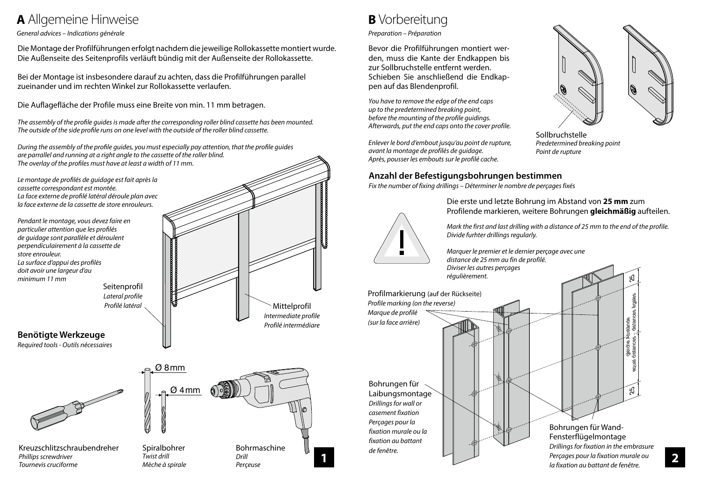## **<sup>A</sup>** Allgemeine Hinweise

#### *General advices – Indications générale*

*Tournevis cruciforme*

Die Montage der Profilführungen erfolgt nachdem die jeweilige Rollokassette montiert wurde. Die Außenseite des Seitenprofils verläuft bündig mit der Außenseite der Rollokassette.

Bei der Montage ist insbesondere darauf zu achten, dass die Profilführungen parallel zueinander und im rechten Winkel zur Rollokassette verlaufen.

Die Auflagefläche der Profile muss eine Breite von min. 11 mm betragen.

*The assembly of the profile guides is made after the corresponding roller blind cassette has been mounted. The outside of the side profile runs on one level with the outside of the roller blind cassette.*

*During the assembly of the profile guides, you must especially pay attention, that the profile guides are parrallel and running at a right angle to the cassette of the roller blind. The overlay of the profiles must have at least a width of 11 mm.*



*Mèche à spirale*

*Perçeuse*

## **<sup>B</sup>** Vorbereitung

*Preparation – Préparation*

Bevor die Profilführungen montiert werden, muss die Kante der Endkappen bis zur Sollbruchstelle entfernt werden. Schieben Sie anschließend die Endkappen auf das Blendenprofil.

*You have to remove the edge of the end caps up to the predetermined breaking point, before the mounting of the profile guidings. Afterwards, put the end caps onto the cover profile.*

*Enlever le bord d'embout jusqu'au point de rupture, avant la montage de profilés de guidage. Après, pousser les embouts sur le profilé cache.*

#### **Anzahl der Befestigungsbohrungen bestimmen**

*Fix the number of fixing drillings – Déterminer le nombre de perçages fixés*



Die erste und letzte Bohrung im Abstand von **25 mm** zum Profilende markieren, weitere Bohrungen **gleichmäßig** aufteilen.

*Mark the first and last drilling with a distance of 25 mm to the end of the profile. Divide furhter drillings regularly.*

*Marquer le premier et le dernier perçage avec une* 

Profilmarkierung (auf der Rückseite) *Profile marking (on the reverse) Marque de profilé* 

Bohrungen für Laibungsmontage *Drillings for wall or casement fixation Perçages pour la fixation murale ou la fixation au battant de fenêtre.*

**1 2** *Perçages pour la fixation murale ou distance de 25 mm au fin de profilé. Diviser les autres perçages régulièrement.* gleiche Abstände equal distances – distances êgales  $25$   $\pm$  25 *(sur la face arrière)* Bohrungen für Wand-Fensterflügelmontage *Drillings for fixation in the embrasure*



Sollbruchstelle *Predetermined breaking point Point de rupture*

*la fixation au battant de fenêtre.*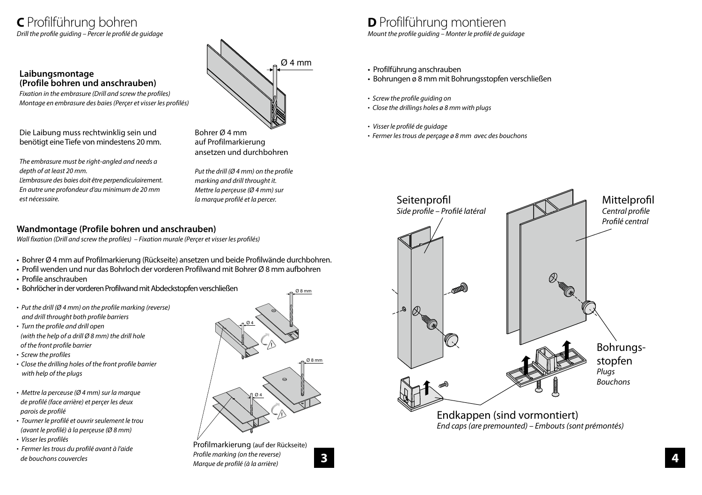### **C** Profilführung bohren *Drill the profile guiding – Percer le profilé de guidage*

#### **Laibungsmontage (Profile bohren und anschrauben)**

*Fixation in the embrasure (Drill and screw the profiles) Montage en embrasure des baies (Perçer et visser les profilés)*

Die Laibung muss rechtwinklig sein und benötigt eine Tiefe von mindestens 20 mm.

*The embrasure must be right-angled and needs a depth of at least 20 mm.*

*L'embrasure des baies doit être perpendiculairement. En autre une profondeur d'au minimum de 20 mm est nécessaire.*

Ø4mm

Bohrer Ø 4 mm auf Profilmarkierung ansetzen und durchbohren

*Put the drill (Ø 4 mm) on the profile marking and drill throught it. Mettre la perçeuse (Ø 4 mm) sur la marque profilé et la percer.*

#### **Wandmontage (Profile bohren und anschrauben)**

*Wall fixation (Drill and screw the profiles) – Fixation murale (Perçer et visser les profilés)*

- Bohrer Ø 4 mm auf Profilmarkierung (Rückseite) ansetzen und beide Profilwände durchbohren.
- Profil wenden und nur das Bohrloch der vorderen Profilwand mit Bohrer Ø 8 mm aufbohren
- Profile anschrauben
- Bohrlöcher in der vorderen Profilwand mit Abdeckstopfen verschließen
- • *Put the drill (Ø 4 mm) on the profile marking (reverse) and drill throught both profile barriers*
- *Turn the profile and drill open (with the help of a drill Ø 8 mm) the drill hole*
- *of the front profile barrier*
- • *Screw the profiles*
- • *Close the drilling holes of the front profile barrier with help of the plugs*
- *Mettre la perceuse (Ø 4 mm) sur la marque de profilé (face arrière) et perçer les deux parois de profilé*
- *Tourner le profilé et ouvrir seulement le trou (avant le profilé) à la perçeuse (Ø 8 mm)*
- *Visser les profilés*
- *Fermer les trous du profilé avant à l'aide de bouchons couvercles*



Profilmarkierung (auf der Rückseite) *Profile marking (on the reverse) Marque de profilé (à la arrière)*

## **D** Profilführung montieren

*Mount the profile guiding – Monter le profilé de guidage*

- Profilführung anschrauben
- Bohrungen ø 8 mm mit Bohrungsstopfen verschließen
- *Screw the profile guiding on*
- *Close the drillings holes ø 8 mm with plugs*
- *Visser le profilé de guidage*
- *Fermer les trous de perçage ø 8 mm avec des bouchons*